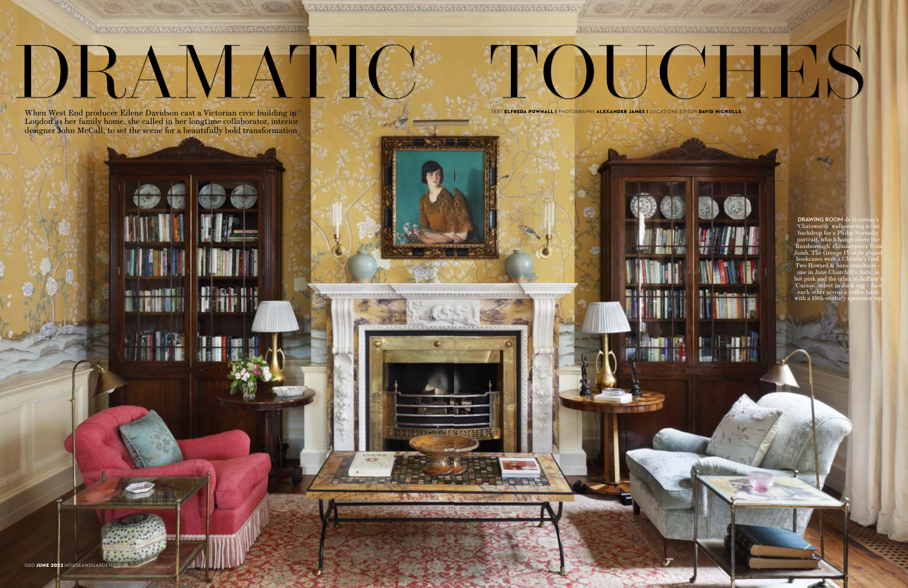**RESIDENCE OF A PARAMETER AND A PARAMETER AND A REPORT** 

DRAMATIC

A SAN SAN ASIAN SAN SAN SAN SAN ANG ANG SAN ASIAN SAN SAN ASIAN SA

**DOWN TO BE** 

**COLL DOGS**  $\mathbf{I}$   $\mathbf{r}$   $\mathbf{H}$   $\mathbf{r}$ 

ist in

**NEW YORK ON A FARA FARA PARA PARALE A VICE A RELET** 

When West End producer Eilene Davidson cast a Victorian civic building in TEXT ELFREDA POWNALL I PHOTOGRAPHS ALEXANDER JAMES I LOCATIONS EDITOR DAVID NICHOLLS London as her family home, she called in her longtime collaborator, interior designer John McCall, to set the scene for a beautifully bold transformation

**Smithfill** 

П

JEL 1.

**DRAWING ROOM** de Gournay's 'Chatsworth' wallcovering is the backdrop for a Phi portrait, which ha 'Russborough' chimneypiece from amb. The  $\mathrm{\breve{G}e}$ or bookcases were a Christie's find. Two Howard & S one in Jane Churc hot pink and the other in Zoffany's 'Curzon' velvet in duck egg – face each other across a coffee table with a 19th-century



TOUCHES AND AN ANY OF THE REAL PROPERTY.

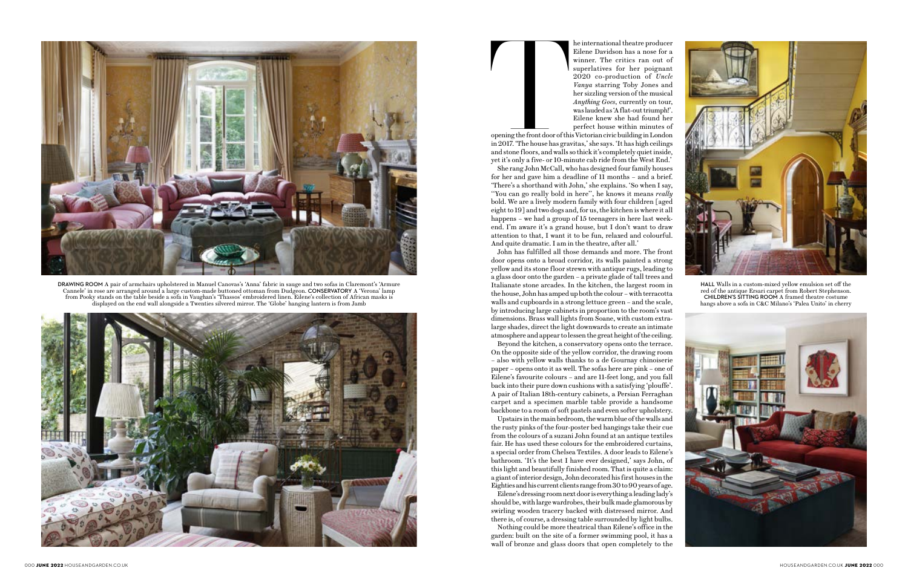Eilene Davidson has a nose for a winner. The critics ran out of superlatives for her poignant 2020 co-production of *Uncle Vanya* starring Toby Jones and her sizzling version of the musical *Anything Goes*, currently on tour, was lauded as 'A flat-out triumph!'. Eilene knew she had found her perfect house within minutes of

opening the front door of this Victorian civic building in London in 2017. 'The house has gravitas,' she says. 'It has high ceilings and stone floors, and walls so thick it's completely quiet inside, yet it's only a five- or 10-minute cab ride from the West End.'

She rang John McCall, who has designed four family houses for her and gave him a deadline of 11 months – and a brief. 'There's a shorthand with John,' she explains. 'So when I say, ''You can go really bold in here'', he knows it means *really* bold. We are a lively modern family with four children [aged eight to 19] and two dogs and, for us, the kitchen is where it all happens – we had a group of 15 teenagers in here last weekend. I'm aware it's a grand house, but I don't want to draw attention to that, I want it to be fun, relaxed and colourful. And quite dramatic. I am in the theatre, after all.'

John has fulfilled all those demands and more. The front door opens onto a broad corridor, its walls painted a strong yellow and its stone floor strewn with antique rugs, leading to a glass door onto the garden – a private glade of tall trees and Italianate stone arcades. In the kitchen, the largest room in the house, John has amped up both the colour – with terracotta walls and cupboards in a strong lettuce green – and the scale, by introducing large cabinets in proportion to the room's vast dimensions. Brass wall lights from Soane, with custom extralarge shades, direct the light downwards to create an intimate atmosphere and appear to lessen the great height of the ceiling.

Beyond the kitchen, a conservatory opens onto the terrace. On the opposite side of the yellow corridor, the drawing room – also with yellow walls thanks to a de Gournay chinoiserie paper – opens onto it as well. The sofas here are pink – one of Eilene's favourite colours – and are 11-feet long, and you fall back into their pure down cushions with a satisfying 'plouffe'. A pair of Italian 18th-century cabinets, a Persian Ferraghan carpet and a specimen marble table provide a handsome backbone to a room of soft pastels and even softer upholstery.

Upstairs in the main bedroom, the warm blue of the walls and the rusty pinks of the four-poster bed hangings take their cue from the colours of a suzani John found at an antique textiles fair. He has used these colours for the embroidered curtains, a special order from Chelsea Textiles. A door leads to Eilene's bathroom. 'It's the best I have ever designed,' says John, of this light and beautifully finished room. That is quite a claim: a giant of interior design, John decorated his first houses in the Eighties and his current clients range from 30 to 90 years of age.

Eilene's dressing room next door is everything a leading lady's should be, with large wardrobes, their bulk made glamorous by swirling wooden tracery backed with distressed mirror. And there is, of course, a dressing table surrounded by light bulbs.

Nothing could be more theatrical than Eilene's office in the garden: built on the site of a former swimming pool, it has a wall of bronze and glass doors that open completely to the



**DRAWING ROOM** A pair of armchairs upholstered in Manuel Canovas's 'Anna' fabric in sauge and two sofas in Claremont's 'Armure Cannele' in rose are arranged around a large custom-made buttoned ottoman from Dudgeon. **CONSERVATORY** A 'Verona' lamp from Pooky stands on the table beside a sofa in Vaughan's 'Thassos' embroidered linen. Eilene's collection of African masks is displayed on the end wall alongside a Twenties silvered mirror. The 'Globe' hanging lantern is from Jamb



he international theatre producer<br>
Eilene Davidson has a nose for a<br>
winner. The critics ran out of<br>
superlatives for her poignant<br>
2020 co-production of Uncle<br>
Vanya starring Toby Jones and<br>
her sizzling version of the mu



**HALL** Walls in a custom-mixed yellow emulsion set off the red of the antique Ersari carpet from Robert Stephenson. **CHILDREN'S SITTING ROOM** A framed theatre costume hangs above a sofa in C&C Milano's 'Palea Unito' in cherry

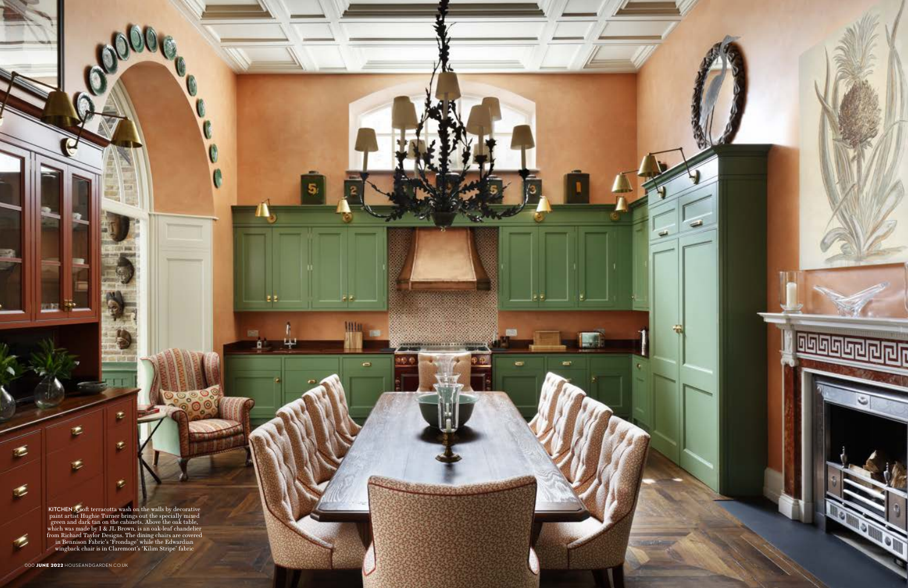**KITCHEN** A soft terracotta wash on the walls by decorative paint artist Hughie Turner brings out the specially mixed green and dark tan on the cabinets. Above the oak table, which was made by I & JL Brown, is an oak-leaf chandelier from Richard Taylor Designs. The dining chairs are covered in Bennison Fabric's 'Frondage' while the Edwardian wingback chair is in Claremont's 'Kilim Stripe' fabric

×

罗

 $\phi$ 

¢

E E.

 $\bullet$ 

۳

▄

這

放射

٣

 $\tilde{\mathcal{L}}$ 

G.